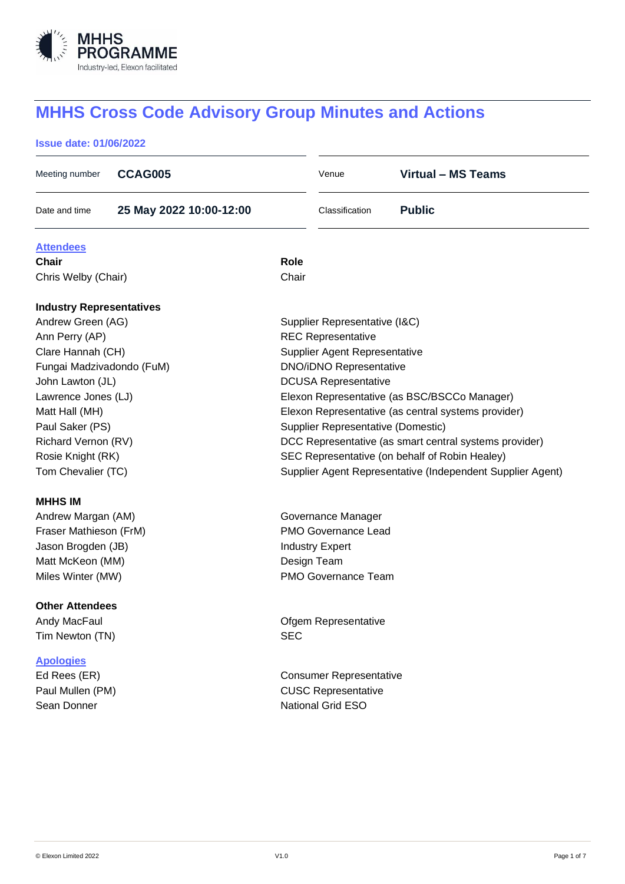

# **MHHS Cross Code Advisory Group Minutes and Actions**

# **Issue date: 01/06/2022**

| Meeting number                  | <b>CCAG005</b>          |                                                | Venue                              | <b>Virtual - MS Teams</b>                                  |  |  |
|---------------------------------|-------------------------|------------------------------------------------|------------------------------------|------------------------------------------------------------|--|--|
| Date and time                   | 25 May 2022 10:00-12:00 |                                                | Classification                     | <b>Public</b>                                              |  |  |
| <b>Attendees</b>                |                         |                                                |                                    |                                                            |  |  |
| <b>Chair</b>                    |                         | <b>Role</b>                                    |                                    |                                                            |  |  |
| Chris Welby (Chair)             |                         | Chair                                          |                                    |                                                            |  |  |
| <b>Industry Representatives</b> |                         |                                                |                                    |                                                            |  |  |
| Andrew Green (AG)               |                         | Supplier Representative (I&C)                  |                                    |                                                            |  |  |
| Ann Perry (AP)                  |                         | <b>REC Representative</b>                      |                                    |                                                            |  |  |
| Clare Hannah (CH)               |                         | Supplier Agent Representative                  |                                    |                                                            |  |  |
| Fungai Madzivadondo (FuM)       |                         |                                                | <b>DNO/iDNO Representative</b>     |                                                            |  |  |
| John Lawton (JL)                |                         | <b>DCUSA Representative</b>                    |                                    |                                                            |  |  |
| Lawrence Jones (LJ)             |                         |                                                |                                    | Elexon Representative (as BSC/BSCCo Manager)               |  |  |
| Matt Hall (MH)                  |                         |                                                |                                    | Elexon Representative (as central systems provider)        |  |  |
| Paul Saker (PS)                 |                         |                                                | Supplier Representative (Domestic) |                                                            |  |  |
| Richard Vernon (RV)             |                         |                                                |                                    | DCC Representative (as smart central systems provider)     |  |  |
| Rosie Knight (RK)               |                         | SEC Representative (on behalf of Robin Healey) |                                    |                                                            |  |  |
| Tom Chevalier (TC)              |                         |                                                |                                    | Supplier Agent Representative (Independent Supplier Agent) |  |  |
| <b>MHHS IM</b>                  |                         |                                                |                                    |                                                            |  |  |
| Andrew Margan (AM)              |                         | Governance Manager                             |                                    |                                                            |  |  |
| Fraser Mathieson (FrM)          |                         | PMO Governance Lead                            |                                    |                                                            |  |  |
| Jason Brogden (JB)              |                         | <b>Industry Expert</b>                         |                                    |                                                            |  |  |
| Matt McKeon (MM)                |                         | Design Team                                    |                                    |                                                            |  |  |
| Miles Winter (MW)               |                         |                                                | <b>PMO Governance Team</b>         |                                                            |  |  |
| <b>Other Attendees</b>          |                         |                                                |                                    |                                                            |  |  |
| Andy MacFaul                    |                         | Ofgem Representative                           |                                    |                                                            |  |  |
| Tim Newton (TN)                 |                         | <b>SEC</b>                                     |                                    |                                                            |  |  |
| <b>Apologies</b>                |                         |                                                |                                    |                                                            |  |  |
| Ed Rees (ER)                    |                         | <b>Consumer Representative</b>                 |                                    |                                                            |  |  |
| Paul Mullen (PM)                |                         |                                                | <b>CUSC Representative</b>         |                                                            |  |  |
| Sean Donner                     |                         |                                                | National Grid ESO                  |                                                            |  |  |
|                                 |                         |                                                |                                    |                                                            |  |  |
|                                 |                         |                                                |                                    |                                                            |  |  |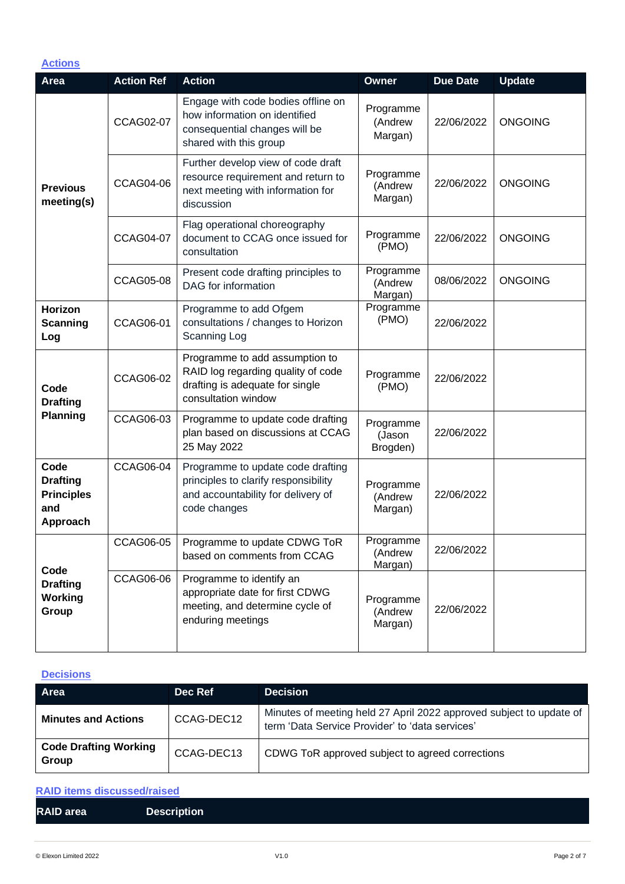| <b>Actions</b>                                                  |                   |                                                                                                                                 |                                 |                 |                |
|-----------------------------------------------------------------|-------------------|---------------------------------------------------------------------------------------------------------------------------------|---------------------------------|-----------------|----------------|
| Area                                                            | <b>Action Ref</b> | <b>Action</b>                                                                                                                   | Owner                           | <b>Due Date</b> | <b>Update</b>  |
| <b>Previous</b><br>meeting(s)                                   | <b>CCAG02-07</b>  | Engage with code bodies offline on<br>how information on identified<br>consequential changes will be<br>shared with this group  | Programme<br>(Andrew<br>Margan) | 22/06/2022      | <b>ONGOING</b> |
|                                                                 | <b>CCAG04-06</b>  | Further develop view of code draft<br>resource requirement and return to<br>next meeting with information for<br>discussion     | Programme<br>(Andrew<br>Margan) | 22/06/2022      | <b>ONGOING</b> |
|                                                                 | <b>CCAG04-07</b>  | Flag operational choreography<br>document to CCAG once issued for<br>consultation                                               | Programme<br>(PMO)              | 22/06/2022      | <b>ONGOING</b> |
|                                                                 | <b>CCAG05-08</b>  | Present code drafting principles to<br>DAG for information                                                                      | Programme<br>(Andrew<br>Margan) | 08/06/2022      | <b>ONGOING</b> |
| Horizon<br>Scanning<br>Log                                      | <b>CCAG06-01</b>  | Programme to add Ofgem<br>consultations / changes to Horizon<br>Scanning Log                                                    | Programme<br>(PMO)              | 22/06/2022      |                |
| Code<br><b>Drafting</b><br>Planning                             | <b>CCAG06-02</b>  | Programme to add assumption to<br>RAID log regarding quality of code<br>drafting is adequate for single<br>consultation window  | Programme<br>(PMO)              | 22/06/2022      |                |
|                                                                 | CCAG06-03         | Programme to update code drafting<br>plan based on discussions at CCAG<br>25 May 2022                                           | Programme<br>(Jason<br>Brogden) | 22/06/2022      |                |
| Code<br><b>Drafting</b><br><b>Principles</b><br>and<br>Approach | <b>CCAG06-04</b>  | Programme to update code drafting<br>principles to clarify responsibility<br>and accountability for delivery of<br>code changes | Programme<br>(Andrew<br>Margan) | 22/06/2022      |                |
| Code<br><b>Drafting</b><br>Working<br>Group                     | <b>CCAG06-05</b>  | Programme to update CDWG ToR<br>based on comments from CCAG                                                                     | Programme<br>(Andrew<br>Margan) | 22/06/2022      |                |
|                                                                 | <b>CCAG06-06</b>  | Programme to identify an<br>appropriate date for first CDWG<br>meeting, and determine cycle of<br>enduring meetings             | Programme<br>(Andrew<br>Margan) | 22/06/2022      |                |

# **Decisions**

| Area                                  | Dec Ref    | <b>Decision</b>                                                                                                        |
|---------------------------------------|------------|------------------------------------------------------------------------------------------------------------------------|
| <b>Minutes and Actions</b>            | CCAG-DEC12 | Minutes of meeting held 27 April 2022 approved subject to update of<br>term 'Data Service Provider' to 'data services' |
| <b>Code Drafting Working</b><br>Group | CCAG-DEC13 | CDWG ToR approved subject to agreed corrections                                                                        |

| <b>RAID items discussed/raised</b> |                    |  |  |  |  |
|------------------------------------|--------------------|--|--|--|--|
| <b>RAID area</b>                   | <b>Description</b> |  |  |  |  |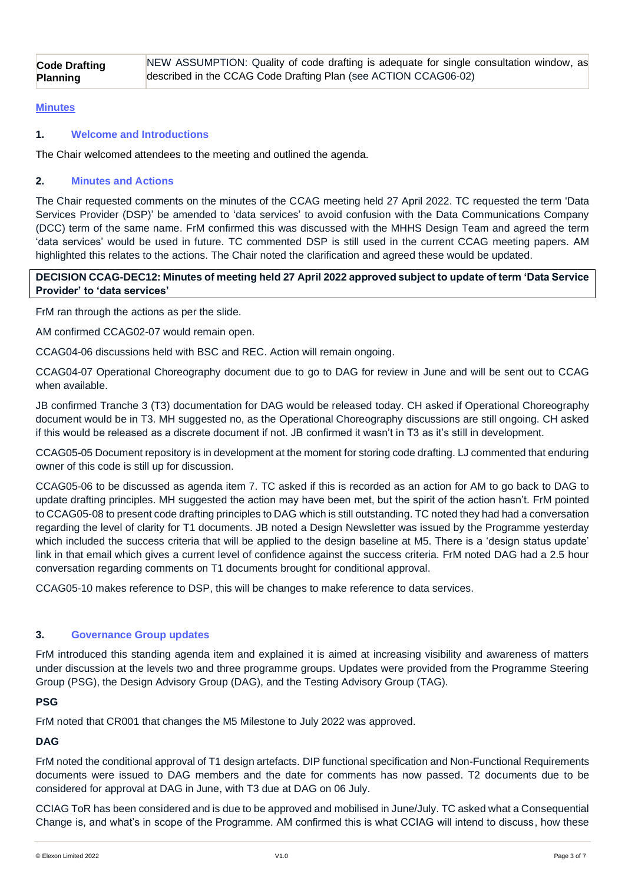#### **Minutes**

#### **1. Welcome and Introductions**

The Chair welcomed attendees to the meeting and outlined the agenda.

#### **2. Minutes and Actions**

The Chair requested comments on the minutes of the CCAG meeting held 27 April 2022. TC requested the term 'Data Services Provider (DSP)' be amended to 'data services' to avoid confusion with the Data Communications Company (DCC) term of the same name. FrM confirmed this was discussed with the MHHS Design Team and agreed the term 'data services' would be used in future. TC commented DSP is still used in the current CCAG meeting papers. AM highlighted this relates to the actions. The Chair noted the clarification and agreed these would be updated.

**DECISION CCAG-DEC12: Minutes of meeting held 27 April 2022 approved subject to update of term 'Data Service Provider' to 'data services'**

FrM ran through the actions as per the slide.

AM confirmed CCAG02-07 would remain open.

CCAG04-06 discussions held with BSC and REC. Action will remain ongoing.

CCAG04-07 Operational Choreography document due to go to DAG for review in June and will be sent out to CCAG when available.

JB confirmed Tranche 3 (T3) documentation for DAG would be released today. CH asked if Operational Choreography document would be in T3. MH suggested no, as the Operational Choreography discussions are still ongoing. CH asked if this would be released as a discrete document if not. JB confirmed it wasn't in T3 as it's still in development.

CCAG05-05 Document repository is in development at the moment for storing code drafting. LJ commented that enduring owner of this code is still up for discussion.

CCAG05-06 to be discussed as agenda item 7. TC asked if this is recorded as an action for AM to go back to DAG to update drafting principles. MH suggested the action may have been met, but the spirit of the action hasn't. FrM pointed to CCAG05-08 to present code drafting principles to DAG which is still outstanding. TC noted they had had a conversation regarding the level of clarity for T1 documents. JB noted a Design Newsletter was issued by the Programme yesterday which included the success criteria that will be applied to the design baseline at M5. There is a 'design status update' link in that email which gives a current level of confidence against the success criteria. FrM noted DAG had a 2.5 hour conversation regarding comments on T1 documents brought for conditional approval.

CCAG05-10 makes reference to DSP, this will be changes to make reference to data services.

#### **3. Governance Group updates**

FrM introduced this standing agenda item and explained it is aimed at increasing visibility and awareness of matters under discussion at the levels two and three programme groups. Updates were provided from the Programme Steering Group (PSG), the Design Advisory Group (DAG), and the Testing Advisory Group (TAG).

#### **PSG**

FrM noted that CR001 that changes the M5 Milestone to July 2022 was approved.

**DAG**

FrM noted the conditional approval of T1 design artefacts. DIP functional specification and Non-Functional Requirements documents were issued to DAG members and the date for comments has now passed. T2 documents due to be considered for approval at DAG in June, with T3 due at DAG on 06 July.

CCIAG ToR has been considered and is due to be approved and mobilised in June/July. TC asked what a Consequential Change is, and what's in scope of the Programme. AM confirmed this is what CCIAG will intend to discuss, how these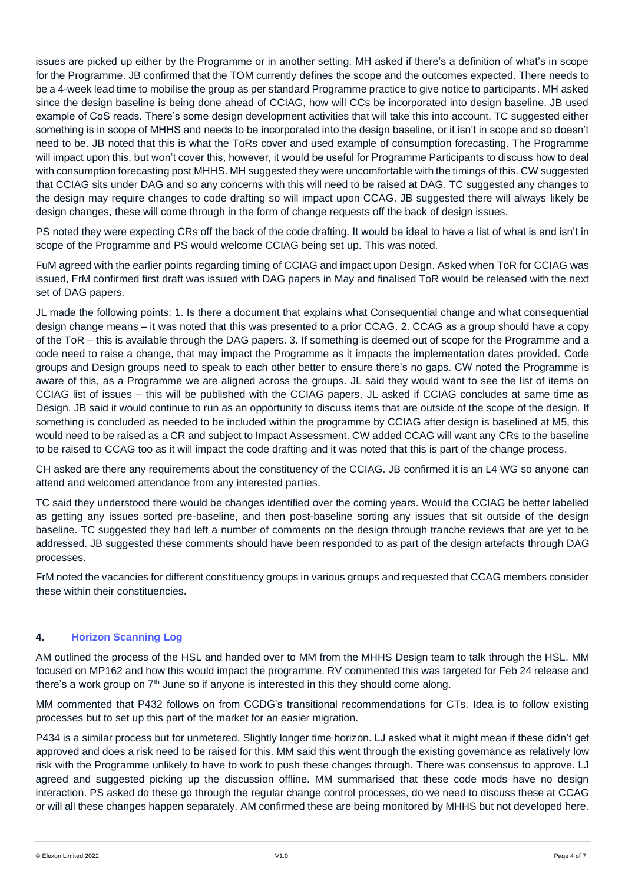issues are picked up either by the Programme or in another setting. MH asked if there's a definition of what's in scope for the Programme. JB confirmed that the TOM currently defines the scope and the outcomes expected. There needs to be a 4-week lead time to mobilise the group as per standard Programme practice to give notice to participants. MH asked since the design baseline is being done ahead of CCIAG, how will CCs be incorporated into design baseline. JB used example of CoS reads. There's some design development activities that will take this into account. TC suggested either something is in scope of MHHS and needs to be incorporated into the design baseline, or it isn't in scope and so doesn't need to be. JB noted that this is what the ToRs cover and used example of consumption forecasting. The Programme will impact upon this, but won't cover this, however, it would be useful for Programme Participants to discuss how to deal with consumption forecasting post MHHS. MH suggested they were uncomfortable with the timings of this. CW suggested that CCIAG sits under DAG and so any concerns with this will need to be raised at DAG. TC suggested any changes to the design may require changes to code drafting so will impact upon CCAG. JB suggested there will always likely be design changes, these will come through in the form of change requests off the back of design issues.

PS noted they were expecting CRs off the back of the code drafting. It would be ideal to have a list of what is and isn't in scope of the Programme and PS would welcome CCIAG being set up. This was noted.

FuM agreed with the earlier points regarding timing of CCIAG and impact upon Design. Asked when ToR for CCIAG was issued, FrM confirmed first draft was issued with DAG papers in May and finalised ToR would be released with the next set of DAG papers.

JL made the following points: 1. Is there a document that explains what Consequential change and what consequential design change means – it was noted that this was presented to a prior CCAG. 2. CCAG as a group should have a copy of the ToR – this is available through the DAG papers. 3. If something is deemed out of scope for the Programme and a code need to raise a change, that may impact the Programme as it impacts the implementation dates provided. Code groups and Design groups need to speak to each other better to ensure there's no gaps. CW noted the Programme is aware of this, as a Programme we are aligned across the groups. JL said they would want to see the list of items on CCIAG list of issues – this will be published with the CCIAG papers. JL asked if CCIAG concludes at same time as Design. JB said it would continue to run as an opportunity to discuss items that are outside of the scope of the design. If something is concluded as needed to be included within the programme by CCIAG after design is baselined at M5, this would need to be raised as a CR and subject to Impact Assessment. CW added CCAG will want any CRs to the baseline to be raised to CCAG too as it will impact the code drafting and it was noted that this is part of the change process.

CH asked are there any requirements about the constituency of the CCIAG. JB confirmed it is an L4 WG so anyone can attend and welcomed attendance from any interested parties.

TC said they understood there would be changes identified over the coming years. Would the CCIAG be better labelled as getting any issues sorted pre-baseline, and then post-baseline sorting any issues that sit outside of the design baseline. TC suggested they had left a number of comments on the design through tranche reviews that are yet to be addressed. JB suggested these comments should have been responded to as part of the design artefacts through DAG processes.

FrM noted the vacancies for different constituency groups in various groups and requested that CCAG members consider these within their constituencies.

# **4. Horizon Scanning Log**

AM outlined the process of the HSL and handed over to MM from the MHHS Design team to talk through the HSL. MM focused on MP162 and how this would impact the programme. RV commented this was targeted for Feb 24 release and there's a work group on 7<sup>th</sup> June so if anyone is interested in this they should come along.

MM commented that P432 follows on from CCDG's transitional recommendations for CTs. Idea is to follow existing processes but to set up this part of the market for an easier migration.

P434 is a similar process but for unmetered. Slightly longer time horizon. LJ asked what it might mean if these didn't get approved and does a risk need to be raised for this. MM said this went through the existing governance as relatively low risk with the Programme unlikely to have to work to push these changes through. There was consensus to approve. LJ agreed and suggested picking up the discussion offline. MM summarised that these code mods have no design interaction. PS asked do these go through the regular change control processes, do we need to discuss these at CCAG or will all these changes happen separately. AM confirmed these are being monitored by MHHS but not developed here.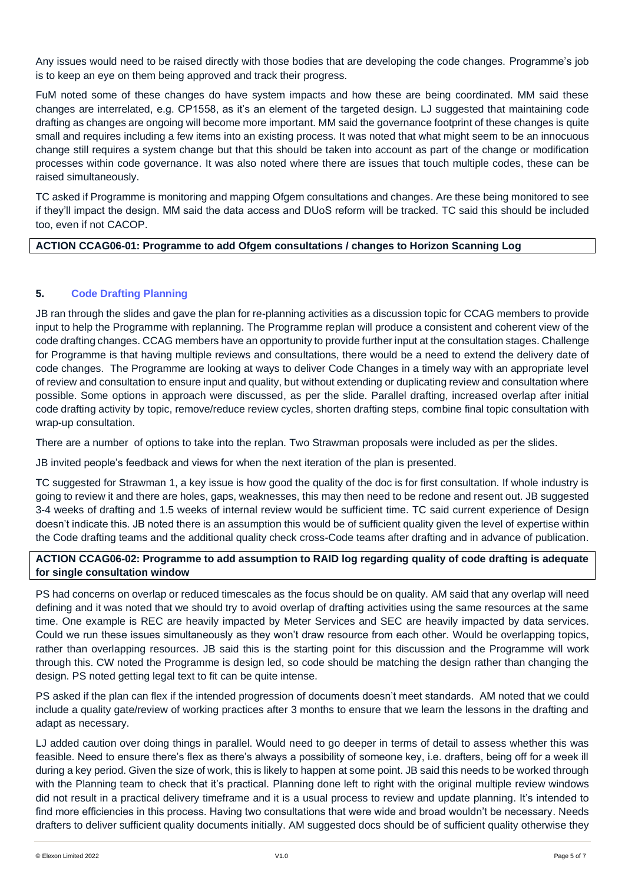Any issues would need to be raised directly with those bodies that are developing the code changes. Programme's job is to keep an eye on them being approved and track their progress.

FuM noted some of these changes do have system impacts and how these are being coordinated. MM said these changes are interrelated, e.g. CP1558, as it's an element of the targeted design. LJ suggested that maintaining code drafting as changes are ongoing will become more important. MM said the governance footprint of these changes is quite small and requires including a few items into an existing process. It was noted that what might seem to be an innocuous change still requires a system change but that this should be taken into account as part of the change or modification processes within code governance. It was also noted where there are issues that touch multiple codes, these can be raised simultaneously.

TC asked if Programme is monitoring and mapping Ofgem consultations and changes. Are these being monitored to see if they'll impact the design. MM said the data access and DUoS reform will be tracked. TC said this should be included too, even if not CACOP.

#### **ACTION CCAG06-01: Programme to add Ofgem consultations / changes to Horizon Scanning Log**

# **5. Code Drafting Planning**

JB ran through the slides and gave the plan for re-planning activities as a discussion topic for CCAG members to provide input to help the Programme with replanning. The Programme replan will produce a consistent and coherent view of the code drafting changes. CCAG members have an opportunity to provide further input at the consultation stages. Challenge for Programme is that having multiple reviews and consultations, there would be a need to extend the delivery date of code changes. The Programme are looking at ways to deliver Code Changes in a timely way with an appropriate level of review and consultation to ensure input and quality, but without extending or duplicating review and consultation where possible. Some options in approach were discussed, as per the slide. Parallel drafting, increased overlap after initial code drafting activity by topic, remove/reduce review cycles, shorten drafting steps, combine final topic consultation with wrap-up consultation.

There are a number of options to take into the replan. Two Strawman proposals were included as per the slides.

JB invited people's feedback and views for when the next iteration of the plan is presented.

TC suggested for Strawman 1, a key issue is how good the quality of the doc is for first consultation. If whole industry is going to review it and there are holes, gaps, weaknesses, this may then need to be redone and resent out. JB suggested 3-4 weeks of drafting and 1.5 weeks of internal review would be sufficient time. TC said current experience of Design doesn't indicate this. JB noted there is an assumption this would be of sufficient quality given the level of expertise within the Code drafting teams and the additional quality check cross-Code teams after drafting and in advance of publication.

#### **ACTION CCAG06-02: Programme to add assumption to RAID log regarding quality of code drafting is adequate for single consultation window**

PS had concerns on overlap or reduced timescales as the focus should be on quality. AM said that any overlap will need defining and it was noted that we should try to avoid overlap of drafting activities using the same resources at the same time. One example is REC are heavily impacted by Meter Services and SEC are heavily impacted by data services. Could we run these issues simultaneously as they won't draw resource from each other. Would be overlapping topics, rather than overlapping resources. JB said this is the starting point for this discussion and the Programme will work through this. CW noted the Programme is design led, so code should be matching the design rather than changing the design. PS noted getting legal text to fit can be quite intense.

PS asked if the plan can flex if the intended progression of documents doesn't meet standards. AM noted that we could include a quality gate/review of working practices after 3 months to ensure that we learn the lessons in the drafting and adapt as necessary.

LJ added caution over doing things in parallel. Would need to go deeper in terms of detail to assess whether this was feasible. Need to ensure there's flex as there's always a possibility of someone key, i.e. drafters, being off for a week ill during a key period. Given the size of work, this is likely to happen at some point. JB said this needs to be worked through with the Planning team to check that it's practical. Planning done left to right with the original multiple review windows did not result in a practical delivery timeframe and it is a usual process to review and update planning. It's intended to find more efficiencies in this process. Having two consultations that were wide and broad wouldn't be necessary. Needs drafters to deliver sufficient quality documents initially. AM suggested docs should be of sufficient quality otherwise they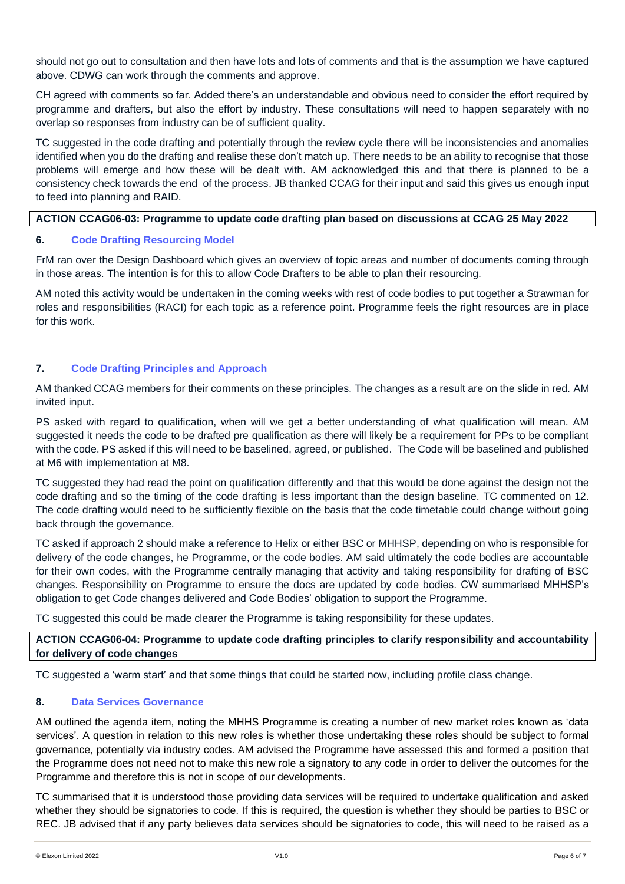should not go out to consultation and then have lots and lots of comments and that is the assumption we have captured above. CDWG can work through the comments and approve.

CH agreed with comments so far. Added there's an understandable and obvious need to consider the effort required by programme and drafters, but also the effort by industry. These consultations will need to happen separately with no overlap so responses from industry can be of sufficient quality.

TC suggested in the code drafting and potentially through the review cycle there will be inconsistencies and anomalies identified when you do the drafting and realise these don't match up. There needs to be an ability to recognise that those problems will emerge and how these will be dealt with. AM acknowledged this and that there is planned to be a consistency check towards the end of the process. JB thanked CCAG for their input and said this gives us enough input to feed into planning and RAID.

#### **ACTION CCAG06-03: Programme to update code drafting plan based on discussions at CCAG 25 May 2022**

#### **6. Code Drafting Resourcing Model**

FrM ran over the Design Dashboard which gives an overview of topic areas and number of documents coming through in those areas. The intention is for this to allow Code Drafters to be able to plan their resourcing.

AM noted this activity would be undertaken in the coming weeks with rest of code bodies to put together a Strawman for roles and responsibilities (RACI) for each topic as a reference point. Programme feels the right resources are in place for this work.

# **7. Code Drafting Principles and Approach**

AM thanked CCAG members for their comments on these principles. The changes as a result are on the slide in red. AM invited input.

PS asked with regard to qualification, when will we get a better understanding of what qualification will mean. AM suggested it needs the code to be drafted pre qualification as there will likely be a requirement for PPs to be compliant with the code. PS asked if this will need to be baselined, agreed, or published. The Code will be baselined and published at M6 with implementation at M8.

TC suggested they had read the point on qualification differently and that this would be done against the design not the code drafting and so the timing of the code drafting is less important than the design baseline. TC commented on 12. The code drafting would need to be sufficiently flexible on the basis that the code timetable could change without going back through the governance.

TC asked if approach 2 should make a reference to Helix or either BSC or MHHSP, depending on who is responsible for delivery of the code changes, he Programme, or the code bodies. AM said ultimately the code bodies are accountable for their own codes, with the Programme centrally managing that activity and taking responsibility for drafting of BSC changes. Responsibility on Programme to ensure the docs are updated by code bodies. CW summarised MHHSP's obligation to get Code changes delivered and Code Bodies' obligation to support the Programme.

TC suggested this could be made clearer the Programme is taking responsibility for these updates.

#### **ACTION CCAG06-04: Programme to update code drafting principles to clarify responsibility and accountability for delivery of code changes**

TC suggested a 'warm start' and that some things that could be started now, including profile class change.

#### **8. Data Services Governance**

AM outlined the agenda item, noting the MHHS Programme is creating a number of new market roles known as 'data services'. A question in relation to this new roles is whether those undertaking these roles should be subject to formal governance, potentially via industry codes. AM advised the Programme have assessed this and formed a position that the Programme does not need not to make this new role a signatory to any code in order to deliver the outcomes for the Programme and therefore this is not in scope of our developments.

TC summarised that it is understood those providing data services will be required to undertake qualification and asked whether they should be signatories to code. If this is required, the question is whether they should be parties to BSC or REC. JB advised that if any party believes data services should be signatories to code, this will need to be raised as a